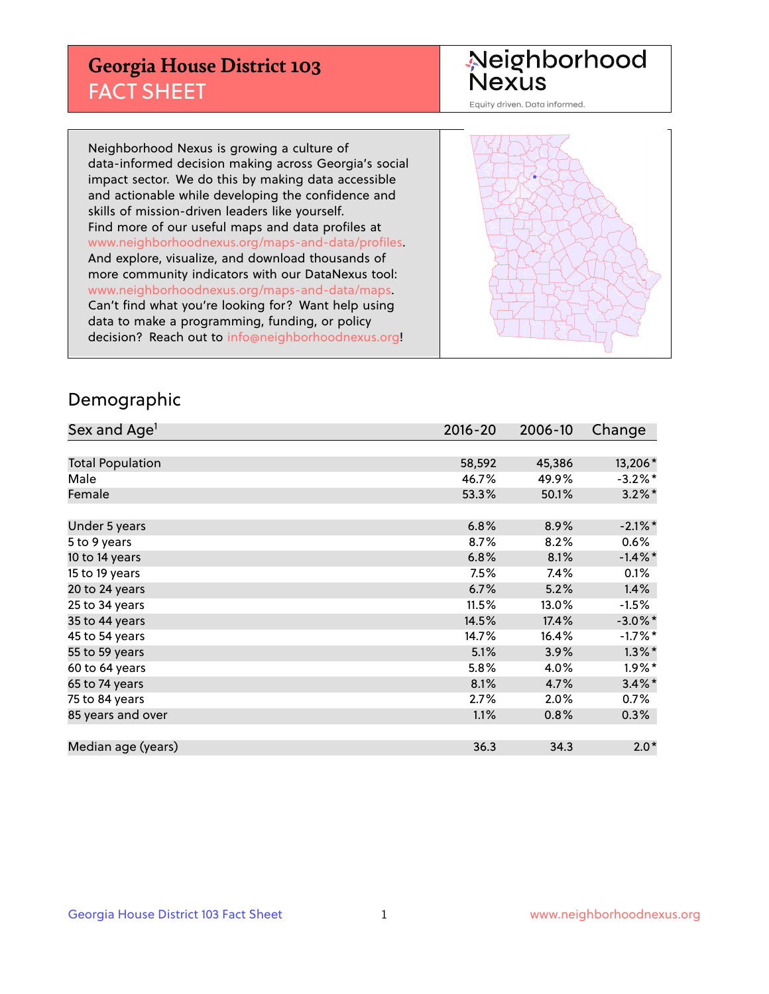## **Georgia House District 103** FACT SHEET

# Neighborhood<br>Nexus

Equity driven. Data informed.

Neighborhood Nexus is growing a culture of data-informed decision making across Georgia's social impact sector. We do this by making data accessible and actionable while developing the confidence and skills of mission-driven leaders like yourself. Find more of our useful maps and data profiles at www.neighborhoodnexus.org/maps-and-data/profiles. And explore, visualize, and download thousands of more community indicators with our DataNexus tool: www.neighborhoodnexus.org/maps-and-data/maps. Can't find what you're looking for? Want help using data to make a programming, funding, or policy decision? Reach out to [info@neighborhoodnexus.org!](mailto:info@neighborhoodnexus.org)



### Demographic

| Sex and Age <sup>1</sup> | $2016 - 20$ | 2006-10 | Change     |
|--------------------------|-------------|---------|------------|
|                          |             |         |            |
| <b>Total Population</b>  | 58,592      | 45,386  | 13,206*    |
| Male                     | 46.7%       | 49.9%   | $-3.2\%$ * |
| Female                   | 53.3%       | 50.1%   | $3.2\%$ *  |
|                          |             |         |            |
| Under 5 years            | 6.8%        | 8.9%    | $-2.1\%$ * |
| 5 to 9 years             | 8.7%        | 8.2%    | $0.6\%$    |
| 10 to 14 years           | 6.8%        | 8.1%    | $-1.4\%$ * |
| 15 to 19 years           | 7.5%        | 7.4%    | 0.1%       |
| 20 to 24 years           | 6.7%        | 5.2%    | 1.4%       |
| 25 to 34 years           | 11.5%       | 13.0%   | $-1.5%$    |
| 35 to 44 years           | 14.5%       | 17.4%   | $-3.0\%$ * |
| 45 to 54 years           | 14.7%       | 16.4%   | $-1.7%$ *  |
| 55 to 59 years           | 5.1%        | 3.9%    | $1.3\%$ *  |
| 60 to 64 years           | 5.8%        | 4.0%    | $1.9\%$ *  |
| 65 to 74 years           | 8.1%        | 4.7%    | $3.4\%$ *  |
| 75 to 84 years           | 2.7%        | 2.0%    | $0.7\%$    |
| 85 years and over        | 1.1%        | 0.8%    | 0.3%       |
|                          |             |         |            |
| Median age (years)       | 36.3        | 34.3    | $2.0*$     |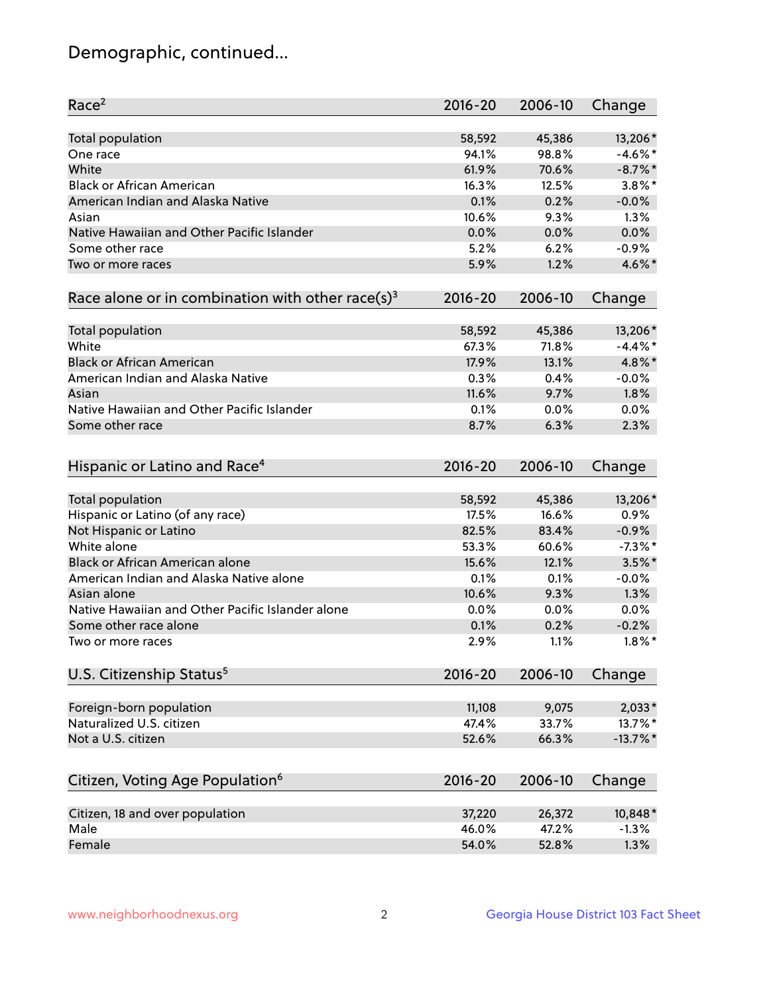## Demographic, continued...

| Race <sup>2</sup>                                            | $2016 - 20$ | 2006-10 | Change      |
|--------------------------------------------------------------|-------------|---------|-------------|
| Total population                                             | 58,592      | 45,386  | 13,206*     |
| One race                                                     | 94.1%       | 98.8%   | $-4.6\%$ *  |
| White                                                        | 61.9%       | 70.6%   | $-8.7\%$ *  |
| <b>Black or African American</b>                             | 16.3%       | 12.5%   | $3.8\%$ *   |
| American Indian and Alaska Native                            | 0.1%        | 0.2%    | $-0.0%$     |
| Asian                                                        | 10.6%       | 9.3%    | 1.3%        |
| Native Hawaiian and Other Pacific Islander                   | 0.0%        | 0.0%    | 0.0%        |
| Some other race                                              | 5.2%        | 6.2%    | $-0.9%$     |
| Two or more races                                            | 5.9%        | 1.2%    | 4.6%*       |
| Race alone or in combination with other race(s) <sup>3</sup> | $2016 - 20$ | 2006-10 | Change      |
|                                                              |             |         |             |
| Total population                                             | 58,592      | 45,386  | 13,206*     |
| White                                                        | 67.3%       | 71.8%   | $-4.4\%$ *  |
| <b>Black or African American</b>                             | 17.9%       | 13.1%   | 4.8%*       |
| American Indian and Alaska Native                            | 0.3%        | 0.4%    | $-0.0%$     |
| Asian                                                        | 11.6%       | 9.7%    | 1.8%        |
| Native Hawaiian and Other Pacific Islander                   | 0.1%        | 0.0%    | 0.0%        |
| Some other race                                              | 8.7%        | 6.3%    | 2.3%        |
|                                                              |             |         |             |
| Hispanic or Latino and Race <sup>4</sup>                     | $2016 - 20$ | 2006-10 | Change      |
| Total population                                             | 58,592      | 45,386  | 13,206*     |
| Hispanic or Latino (of any race)                             | 17.5%       | 16.6%   | 0.9%        |
| Not Hispanic or Latino                                       | 82.5%       | 83.4%   | $-0.9%$     |
| White alone                                                  | 53.3%       | 60.6%   | $-7.3\%$ *  |
| Black or African American alone                              | 15.6%       | 12.1%   | $3.5\%$ *   |
| American Indian and Alaska Native alone                      | 0.1%        | 0.1%    | $-0.0%$     |
| Asian alone                                                  | 10.6%       | 9.3%    | 1.3%        |
| Native Hawaiian and Other Pacific Islander alone             | 0.0%        | 0.0%    | 0.0%        |
| Some other race alone                                        | 0.1%        | 0.2%    | $-0.2%$     |
| Two or more races                                            | 2.9%        | 1.1%    | $1.8\%$ *   |
| U.S. Citizenship Status <sup>5</sup>                         | $2016 - 20$ | 2006-10 | Change      |
|                                                              |             |         |             |
| Foreign-born population                                      | 11,108      | 9,075   | $2,033*$    |
| Naturalized U.S. citizen                                     | 47.4%       | 33.7%   | 13.7%*      |
| Not a U.S. citizen                                           | 52.6%       | 66.3%   | $-13.7\%$ * |
|                                                              |             |         |             |
| Citizen, Voting Age Population <sup>6</sup>                  | $2016 - 20$ | 2006-10 | Change      |
| Citizen, 18 and over population                              | 37,220      | 26,372  | 10,848*     |
| Male                                                         | 46.0%       | 47.2%   | $-1.3%$     |
| Female                                                       | 54.0%       | 52.8%   | 1.3%        |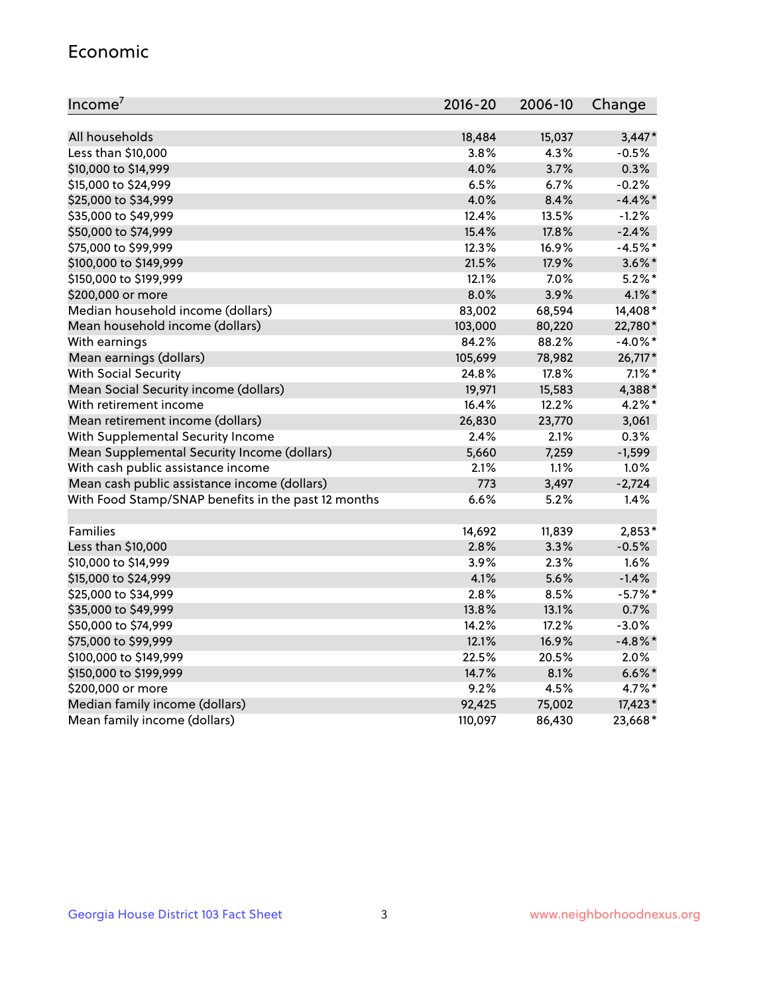#### Economic

| Income <sup>7</sup>                                 | $2016 - 20$ | 2006-10 | Change     |
|-----------------------------------------------------|-------------|---------|------------|
|                                                     |             |         |            |
| All households                                      | 18,484      | 15,037  | $3,447*$   |
| Less than \$10,000                                  | 3.8%        | 4.3%    | $-0.5%$    |
| \$10,000 to \$14,999                                | 4.0%        | 3.7%    | 0.3%       |
| \$15,000 to \$24,999                                | 6.5%        | 6.7%    | $-0.2%$    |
| \$25,000 to \$34,999                                | 4.0%        | 8.4%    | $-4.4\%$ * |
| \$35,000 to \$49,999                                | 12.4%       | 13.5%   | $-1.2%$    |
| \$50,000 to \$74,999                                | 15.4%       | 17.8%   | $-2.4%$    |
| \$75,000 to \$99,999                                | 12.3%       | 16.9%   | $-4.5%$ *  |
| \$100,000 to \$149,999                              | 21.5%       | 17.9%   | $3.6\%$ *  |
| \$150,000 to \$199,999                              | 12.1%       | 7.0%    | $5.2\%$ *  |
| \$200,000 or more                                   | 8.0%        | 3.9%    | $4.1\%$ *  |
| Median household income (dollars)                   | 83,002      | 68,594  | 14,408*    |
| Mean household income (dollars)                     | 103,000     | 80,220  | 22,780*    |
| With earnings                                       | 84.2%       | 88.2%   | $-4.0\%$ * |
| Mean earnings (dollars)                             | 105,699     | 78,982  | 26,717*    |
| <b>With Social Security</b>                         | 24.8%       | 17.8%   | $7.1\%$ *  |
| Mean Social Security income (dollars)               | 19,971      | 15,583  | 4,388*     |
| With retirement income                              | 16.4%       | 12.2%   | $4.2\%$ *  |
| Mean retirement income (dollars)                    | 26,830      | 23,770  | 3,061      |
| With Supplemental Security Income                   | 2.4%        | $2.1\%$ | 0.3%       |
| Mean Supplemental Security Income (dollars)         | 5,660       | 7,259   | $-1,599$   |
| With cash public assistance income                  | 2.1%        | 1.1%    | 1.0%       |
| Mean cash public assistance income (dollars)        | 773         | 3,497   | $-2,724$   |
| With Food Stamp/SNAP benefits in the past 12 months | 6.6%        | 5.2%    | 1.4%       |
|                                                     |             |         |            |
| Families                                            | 14,692      | 11,839  | $2,853*$   |
| Less than \$10,000                                  | 2.8%        | 3.3%    | $-0.5%$    |
| \$10,000 to \$14,999                                | 3.9%        | 2.3%    | 1.6%       |
| \$15,000 to \$24,999                                | 4.1%        | 5.6%    | $-1.4%$    |
| \$25,000 to \$34,999                                | 2.8%        | 8.5%    | $-5.7%$ *  |
| \$35,000 to \$49,999                                | 13.8%       | 13.1%   | 0.7%       |
| \$50,000 to \$74,999                                | 14.2%       | 17.2%   | $-3.0%$    |
| \$75,000 to \$99,999                                | 12.1%       | 16.9%   | $-4.8\%$ * |
| \$100,000 to \$149,999                              | 22.5%       | 20.5%   | 2.0%       |
| \$150,000 to \$199,999                              | 14.7%       | 8.1%    | $6.6\%$ *  |
| \$200,000 or more                                   | 9.2%        | 4.5%    | 4.7%*      |
| Median family income (dollars)                      | 92,425      | 75,002  | 17,423*    |
| Mean family income (dollars)                        | 110,097     | 86,430  | 23,668*    |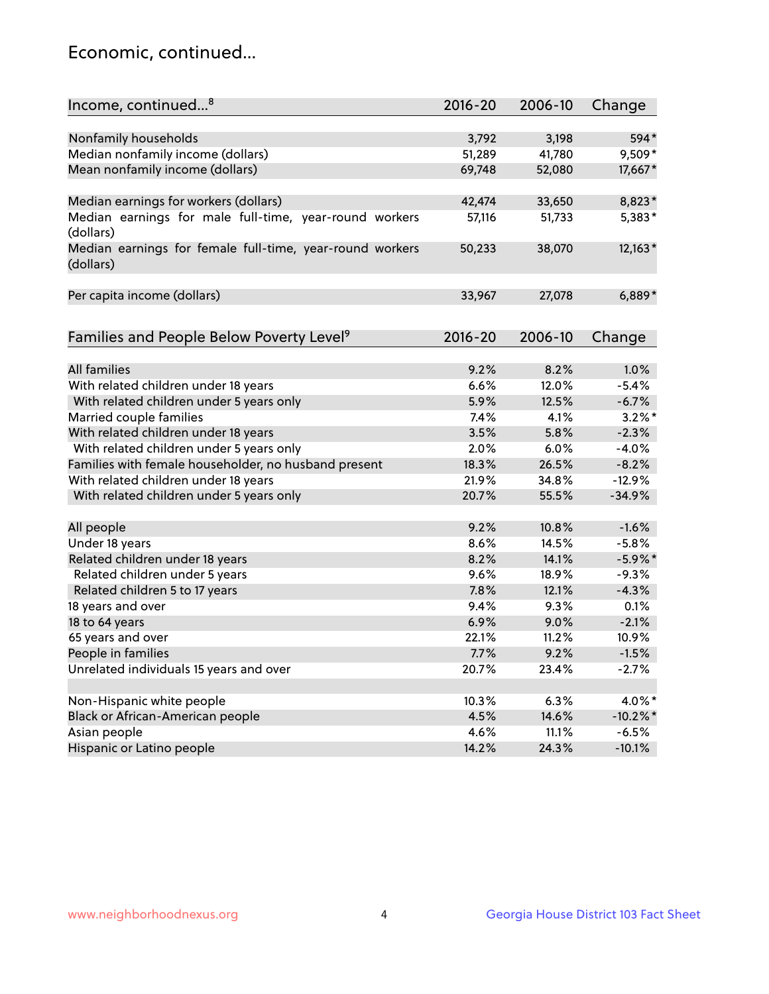## Economic, continued...

| Income, continued <sup>8</sup>                                        | $2016 - 20$ | 2006-10 | Change      |
|-----------------------------------------------------------------------|-------------|---------|-------------|
|                                                                       |             |         |             |
| Nonfamily households                                                  | 3,792       | 3,198   | 594*        |
| Median nonfamily income (dollars)                                     | 51,289      | 41,780  | 9,509*      |
| Mean nonfamily income (dollars)                                       | 69,748      | 52,080  | 17,667*     |
| Median earnings for workers (dollars)                                 | 42,474      | 33,650  | 8,823*      |
| Median earnings for male full-time, year-round workers<br>(dollars)   | 57,116      | 51,733  | 5,383*      |
| Median earnings for female full-time, year-round workers<br>(dollars) | 50,233      | 38,070  | 12,163*     |
| Per capita income (dollars)                                           | 33,967      | 27,078  | $6,889*$    |
| Families and People Below Poverty Level <sup>9</sup>                  | $2016 - 20$ | 2006-10 | Change      |
|                                                                       |             |         |             |
| <b>All families</b>                                                   | 9.2%        | 8.2%    | 1.0%        |
| With related children under 18 years                                  | 6.6%        | 12.0%   | $-5.4%$     |
| With related children under 5 years only                              | 5.9%        | 12.5%   | $-6.7%$     |
| Married couple families                                               | 7.4%        | 4.1%    | $3.2\%$ *   |
| With related children under 18 years                                  | 3.5%        | 5.8%    | $-2.3%$     |
| With related children under 5 years only                              | 2.0%        | 6.0%    | $-4.0%$     |
| Families with female householder, no husband present                  | 18.3%       | 26.5%   | $-8.2%$     |
| With related children under 18 years                                  | 21.9%       | 34.8%   | $-12.9%$    |
| With related children under 5 years only                              | 20.7%       | 55.5%   | $-34.9%$    |
| All people                                                            | 9.2%        | 10.8%   | $-1.6%$     |
| Under 18 years                                                        | 8.6%        | 14.5%   | $-5.8%$     |
| Related children under 18 years                                       | 8.2%        | 14.1%   | $-5.9\%$ *  |
| Related children under 5 years                                        | 9.6%        | 18.9%   | $-9.3%$     |
| Related children 5 to 17 years                                        | 7.8%        | 12.1%   | $-4.3%$     |
| 18 years and over                                                     | 9.4%        | 9.3%    | 0.1%        |
| 18 to 64 years                                                        | 6.9%        | 9.0%    | $-2.1%$     |
| 65 years and over                                                     | 22.1%       | 11.2%   | 10.9%       |
| People in families                                                    | 7.7%        | 9.2%    | $-1.5%$     |
| Unrelated individuals 15 years and over                               | 20.7%       | 23.4%   | $-2.7%$     |
|                                                                       |             |         |             |
| Non-Hispanic white people                                             | 10.3%       | 6.3%    | 4.0%*       |
| Black or African-American people                                      | 4.5%        | 14.6%   | $-10.2\%$ * |
| Asian people                                                          | 4.6%        | 11.1%   | $-6.5%$     |
| Hispanic or Latino people                                             | 14.2%       | 24.3%   | $-10.1%$    |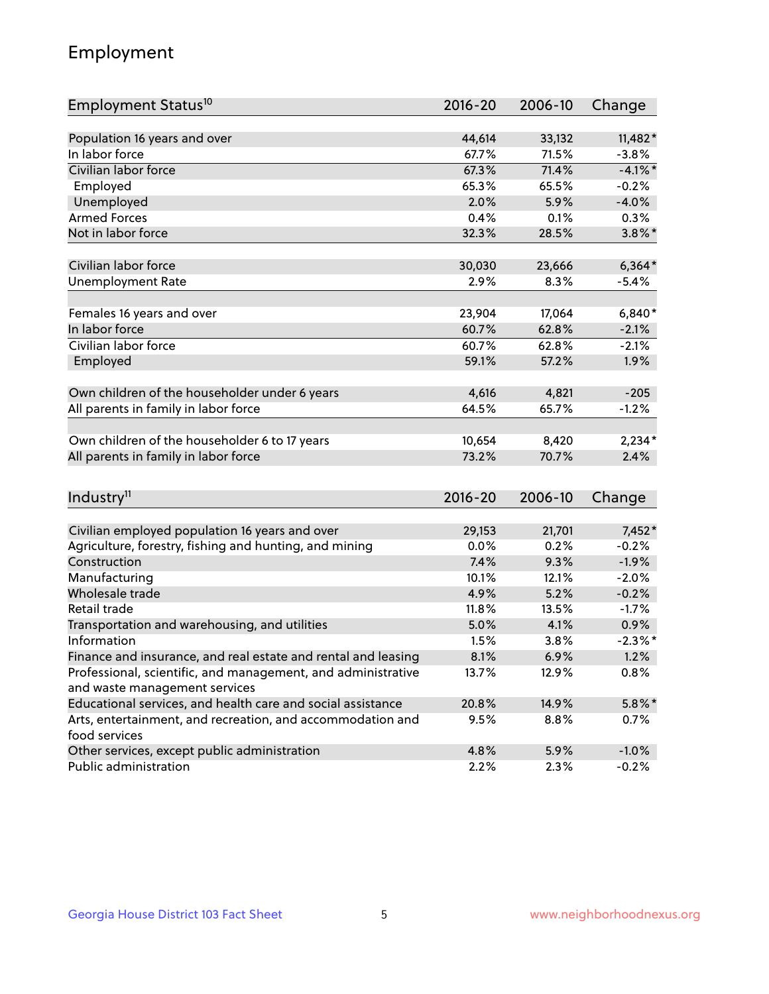## Employment

| Employment Status <sup>10</sup>                               | $2016 - 20$     | 2006-10 | Change     |
|---------------------------------------------------------------|-----------------|---------|------------|
|                                                               |                 |         |            |
| Population 16 years and over                                  | 44,614          | 33,132  | $11,482*$  |
| In labor force                                                | 67.7%           | 71.5%   | $-3.8%$    |
| Civilian labor force                                          | 67.3%           | 71.4%   | $-4.1\%$ * |
| Employed                                                      | 65.3%           | 65.5%   | $-0.2%$    |
| Unemployed                                                    | 2.0%            | 5.9%    | $-4.0%$    |
| <b>Armed Forces</b>                                           | 0.4%            | 0.1%    | 0.3%       |
| Not in labor force                                            | 32.3%           | 28.5%   | $3.8\%$ *  |
|                                                               |                 |         |            |
| Civilian labor force                                          | 30,030          | 23,666  | $6,364*$   |
| <b>Unemployment Rate</b>                                      | 2.9%            | 8.3%    | $-5.4%$    |
| Females 16 years and over                                     | 23,904          | 17,064  | $6,840*$   |
| In labor force                                                | 60.7%           | 62.8%   | $-2.1%$    |
| Civilian labor force                                          | 60.7%           | 62.8%   | $-2.1%$    |
| Employed                                                      | 59.1%           | 57.2%   | 1.9%       |
|                                                               |                 |         |            |
| Own children of the householder under 6 years                 | 4,616           | 4,821   | $-205$     |
| All parents in family in labor force                          | 64.5%           | 65.7%   | $-1.2%$    |
|                                                               |                 |         |            |
| Own children of the householder 6 to 17 years                 | 10,654<br>73.2% | 8,420   | $2,234*$   |
| All parents in family in labor force                          |                 | 70.7%   | 2.4%       |
|                                                               |                 |         |            |
| Industry <sup>11</sup>                                        | $2016 - 20$     | 2006-10 | Change     |
| Civilian employed population 16 years and over                | 29,153          | 21,701  | 7,452*     |
| Agriculture, forestry, fishing and hunting, and mining        | 0.0%            | 0.2%    | $-0.2%$    |
| Construction                                                  | 7.4%            | 9.3%    | $-1.9%$    |
| Manufacturing                                                 | 10.1%           | 12.1%   | $-2.0%$    |
| Wholesale trade                                               | 4.9%            | 5.2%    | $-0.2%$    |
| Retail trade                                                  | 11.8%           | 13.5%   | $-1.7%$    |
| Transportation and warehousing, and utilities                 | 5.0%            | 4.1%    | 0.9%       |
| Information                                                   | 1.5%            | 3.8%    | $-2.3\%$ * |
| Finance and insurance, and real estate and rental and leasing | 8.1%            | 6.9%    | 1.2%       |
| Professional, scientific, and management, and administrative  | 13.7%           | 12.9%   | 0.8%       |
| and waste management services                                 |                 |         |            |
| Educational services, and health care and social assistance   | 20.8%           | 14.9%   | $5.8\%$ *  |
| Arts, entertainment, and recreation, and accommodation and    | 9.5%            | 8.8%    | 0.7%       |
| food services                                                 |                 |         |            |
| Other services, except public administration                  | 4.8%            | 5.9%    | $-1.0%$    |
| Public administration                                         | 2.2%            | 2.3%    | $-0.2%$    |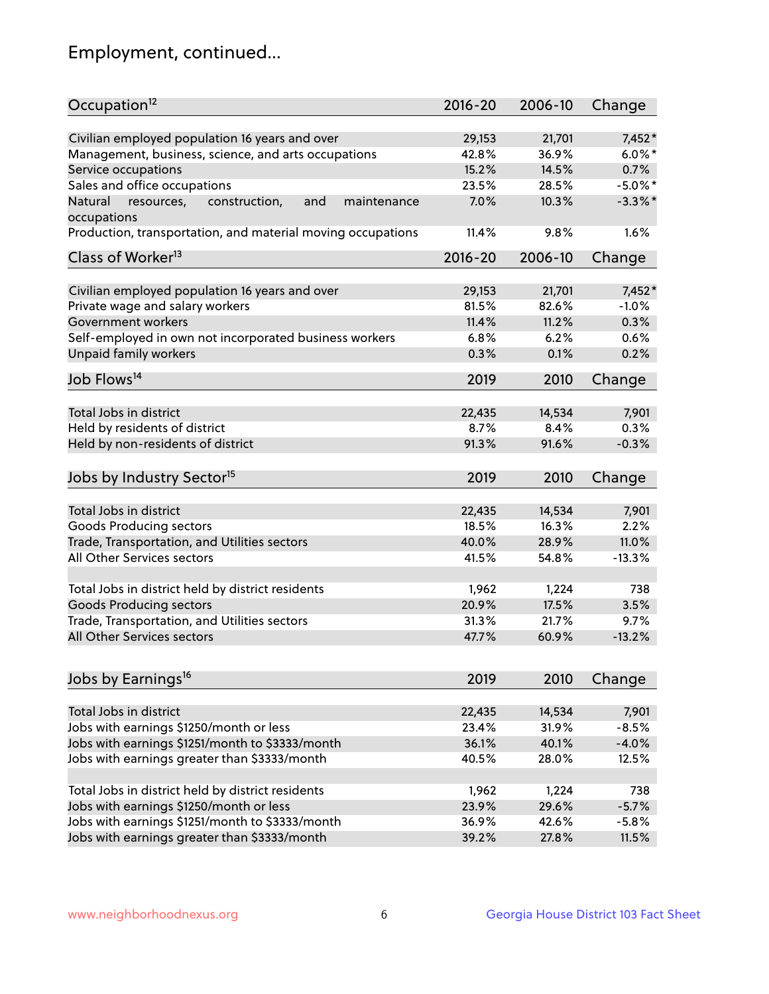## Employment, continued...

| Occupation <sup>12</sup>                                     | $2016 - 20$ | 2006-10 | Change     |
|--------------------------------------------------------------|-------------|---------|------------|
| Civilian employed population 16 years and over               | 29,153      | 21,701  | $7,452*$   |
| Management, business, science, and arts occupations          | 42.8%       | 36.9%   | $6.0\%$ *  |
| Service occupations                                          | 15.2%       | 14.5%   | 0.7%       |
| Sales and office occupations                                 | 23.5%       | 28.5%   | $-5.0\%$ * |
| Natural<br>resources,<br>and<br>construction,<br>maintenance | 7.0%        | 10.3%   | $-3.3\%$ * |
| occupations                                                  |             |         |            |
| Production, transportation, and material moving occupations  | 11.4%       | 9.8%    | 1.6%       |
| Class of Worker <sup>13</sup>                                | $2016 - 20$ | 2006-10 | Change     |
|                                                              | 29,153      | 21,701  | $7,452*$   |
| Civilian employed population 16 years and over               |             |         |            |
| Private wage and salary workers                              | 81.5%       | 82.6%   | $-1.0%$    |
| Government workers                                           | 11.4%       | 11.2%   | 0.3%       |
| Self-employed in own not incorporated business workers       | 6.8%        | 6.2%    | 0.6%       |
| Unpaid family workers                                        | 0.3%        | 0.1%    | 0.2%       |
| Job Flows <sup>14</sup>                                      | 2019        | 2010    | Change     |
| Total Jobs in district                                       |             |         |            |
|                                                              | 22,435      | 14,534  | 7,901      |
| Held by residents of district                                | 8.7%        | 8.4%    | 0.3%       |
| Held by non-residents of district                            | 91.3%       | 91.6%   | $-0.3%$    |
| Jobs by Industry Sector <sup>15</sup>                        | 2019        | 2010    | Change     |
| Total Jobs in district                                       | 22,435      | 14,534  | 7,901      |
| Goods Producing sectors                                      | 18.5%       | 16.3%   | 2.2%       |
| Trade, Transportation, and Utilities sectors                 | 40.0%       | 28.9%   | 11.0%      |
| All Other Services sectors                                   | 41.5%       | 54.8%   | $-13.3%$   |
|                                                              |             |         |            |
| Total Jobs in district held by district residents            | 1,962       | 1,224   | 738        |
| <b>Goods Producing sectors</b>                               | 20.9%       | 17.5%   | 3.5%       |
| Trade, Transportation, and Utilities sectors                 | 31.3%       | 21.7%   | 9.7%       |
| All Other Services sectors                                   | 47.7%       | 60.9%   | $-13.2%$   |
|                                                              |             |         |            |
| Jobs by Earnings <sup>16</sup>                               | 2019        | 2010    | Change     |
| Total Jobs in district                                       | 22,435      | 14,534  | 7,901      |
|                                                              | 23.4%       | 31.9%   | $-8.5%$    |
| Jobs with earnings \$1250/month or less                      |             |         |            |
| Jobs with earnings \$1251/month to \$3333/month              | 36.1%       | 40.1%   | $-4.0%$    |
| Jobs with earnings greater than \$3333/month                 | 40.5%       | 28.0%   | 12.5%      |
| Total Jobs in district held by district residents            | 1,962       | 1,224   | 738        |
| Jobs with earnings \$1250/month or less                      | 23.9%       | 29.6%   | $-5.7%$    |
| Jobs with earnings \$1251/month to \$3333/month              | 36.9%       | 42.6%   | $-5.8%$    |
| Jobs with earnings greater than \$3333/month                 | 39.2%       | 27.8%   | 11.5%      |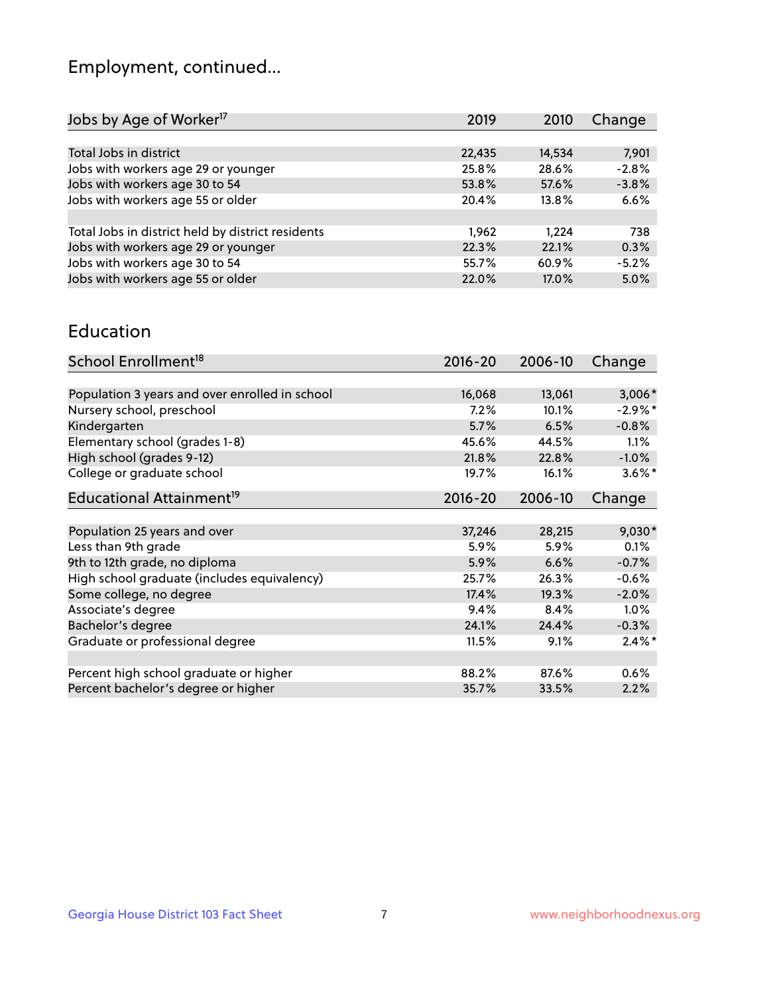## Employment, continued...

| Change  |
|---------|
|         |
| 7,901   |
| $-2.8%$ |
| $-3.8%$ |
| 6.6%    |
|         |
| 738     |
| 0.3%    |
| $-5.2%$ |
| 5.0%    |
|         |

#### Education

| School Enrollment <sup>18</sup>                | $2016 - 20$ | 2006-10 | Change    |
|------------------------------------------------|-------------|---------|-----------|
|                                                |             |         |           |
| Population 3 years and over enrolled in school | 16,068      | 13,061  | $3,006*$  |
| Nursery school, preschool                      | 7.2%        | 10.1%   | $-2.9%$ * |
| Kindergarten                                   | 5.7%        | 6.5%    | $-0.8%$   |
| Elementary school (grades 1-8)                 | 45.6%       | 44.5%   | 1.1%      |
| High school (grades 9-12)                      | 21.8%       | 22.8%   | $-1.0%$   |
| College or graduate school                     | 19.7%       | 16.1%   | $3.6\%$ * |
| Educational Attainment <sup>19</sup>           | $2016 - 20$ | 2006-10 | Change    |
|                                                |             |         |           |
| Population 25 years and over                   | 37,246      | 28,215  | $9,030*$  |
| Less than 9th grade                            | 5.9%        | 5.9%    | 0.1%      |
| 9th to 12th grade, no diploma                  | 5.9%        | 6.6%    | $-0.7%$   |
| High school graduate (includes equivalency)    | 25.7%       | 26.3%   | $-0.6%$   |
| Some college, no degree                        | 17.4%       | 19.3%   | $-2.0%$   |
| Associate's degree                             | 9.4%        | 8.4%    | $1.0\%$   |
| Bachelor's degree                              | 24.1%       | 24.4%   | $-0.3%$   |
| Graduate or professional degree                | 11.5%       | 9.1%    | $2.4\%$ * |
|                                                |             |         |           |
| Percent high school graduate or higher         | 88.2%       | 87.6%   | 0.6%      |
| Percent bachelor's degree or higher            | 35.7%       | 33.5%   | 2.2%      |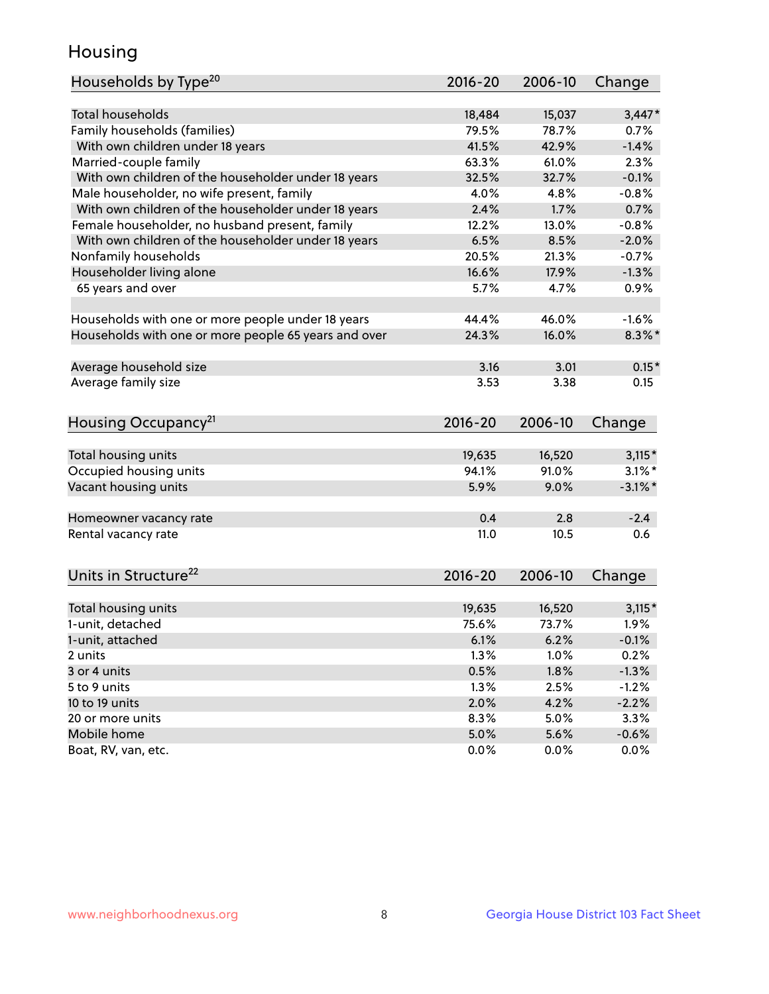## Housing

| Households by Type <sup>20</sup>                     | 2016-20 | 2006-10 | Change     |
|------------------------------------------------------|---------|---------|------------|
|                                                      |         |         |            |
| <b>Total households</b>                              | 18,484  | 15,037  | $3,447*$   |
| Family households (families)                         | 79.5%   | 78.7%   | 0.7%       |
| With own children under 18 years                     | 41.5%   | 42.9%   | $-1.4%$    |
| Married-couple family                                | 63.3%   | 61.0%   | 2.3%       |
| With own children of the householder under 18 years  | 32.5%   | 32.7%   | $-0.1%$    |
| Male householder, no wife present, family            | 4.0%    | 4.8%    | $-0.8%$    |
| With own children of the householder under 18 years  | 2.4%    | 1.7%    | 0.7%       |
| Female householder, no husband present, family       | 12.2%   | 13.0%   | $-0.8%$    |
| With own children of the householder under 18 years  | 6.5%    | 8.5%    | $-2.0%$    |
| Nonfamily households                                 | 20.5%   | 21.3%   | $-0.7%$    |
| Householder living alone                             | 16.6%   | 17.9%   | $-1.3%$    |
| 65 years and over                                    | 5.7%    | 4.7%    | 0.9%       |
|                                                      |         |         |            |
| Households with one or more people under 18 years    | 44.4%   | 46.0%   | $-1.6%$    |
| Households with one or more people 65 years and over | 24.3%   | 16.0%   | $8.3\%$ *  |
|                                                      |         |         |            |
| Average household size                               | 3.16    | 3.01    | $0.15*$    |
| Average family size                                  | 3.53    | 3.38    | 0.15       |
|                                                      |         |         |            |
| Housing Occupancy <sup>21</sup>                      | 2016-20 | 2006-10 | Change     |
|                                                      |         |         |            |
| Total housing units                                  | 19,635  | 16,520  | $3,115*$   |
| Occupied housing units                               | 94.1%   | 91.0%   | $3.1\%$ *  |
| Vacant housing units                                 | 5.9%    | 9.0%    | $-3.1\%$ * |
|                                                      |         |         |            |
| Homeowner vacancy rate                               | 0.4     | 2.8     | $-2.4$     |
| Rental vacancy rate                                  | 11.0    | 10.5    | 0.6        |
|                                                      |         |         |            |
| Units in Structure <sup>22</sup>                     | 2016-20 | 2006-10 | Change     |
|                                                      |         |         |            |
| Total housing units                                  | 19,635  | 16,520  | $3,115*$   |
| 1-unit, detached                                     | 75.6%   | 73.7%   | 1.9%       |
| 1-unit, attached                                     | 6.1%    | 6.2%    | $-0.1%$    |
| 2 units                                              | 1.3%    | 1.0%    | 0.2%       |
| 3 or 4 units                                         | 0.5%    | 1.8%    | $-1.3%$    |
| 5 to 9 units                                         | 1.3%    | 2.5%    | $-1.2%$    |
| 10 to 19 units                                       | 2.0%    | 4.2%    | $-2.2%$    |
| 20 or more units                                     | 8.3%    | 5.0%    | 3.3%       |
| Mobile home                                          | 5.0%    | 5.6%    | $-0.6%$    |
| Boat, RV, van, etc.                                  | 0.0%    | $0.0\%$ | 0.0%       |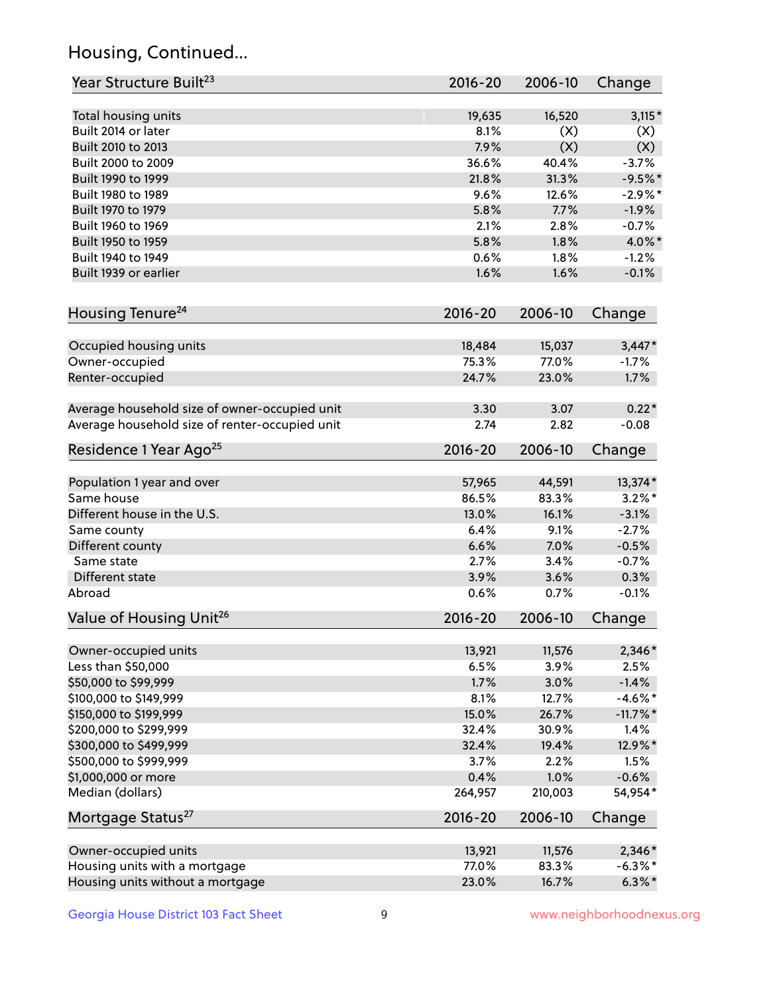## Housing, Continued...

| Year Structure Built <sup>23</sup>             | 2016-20     | 2006-10 | Change      |
|------------------------------------------------|-------------|---------|-------------|
| Total housing units                            | 19,635      | 16,520  | $3,115*$    |
| Built 2014 or later                            | 8.1%        | (X)     | (X)         |
| Built 2010 to 2013                             | 7.9%        | (X)     | (X)         |
| Built 2000 to 2009                             | 36.6%       | 40.4%   | $-3.7%$     |
| Built 1990 to 1999                             | 21.8%       | 31.3%   | $-9.5%$ *   |
| Built 1980 to 1989                             | 9.6%        | 12.6%   | $-2.9%$ *   |
| Built 1970 to 1979                             | 5.8%        | 7.7%    | $-1.9%$     |
| Built 1960 to 1969                             | 2.1%        | 2.8%    | $-0.7%$     |
| Built 1950 to 1959                             | 5.8%        | 1.8%    | 4.0%*       |
| Built 1940 to 1949                             | 0.6%        | 1.8%    | $-1.2%$     |
| Built 1939 or earlier                          | 1.6%        | 1.6%    | $-0.1%$     |
| Housing Tenure <sup>24</sup>                   | $2016 - 20$ | 2006-10 | Change      |
|                                                |             |         |             |
| Occupied housing units                         | 18,484      | 15,037  | $3,447*$    |
| Owner-occupied                                 | 75.3%       | 77.0%   | $-1.7%$     |
| Renter-occupied                                | 24.7%       | 23.0%   | 1.7%        |
| Average household size of owner-occupied unit  | 3.30        | 3.07    | $0.22*$     |
| Average household size of renter-occupied unit | 2.74        | 2.82    | $-0.08$     |
| Residence 1 Year Ago <sup>25</sup>             | $2016 - 20$ | 2006-10 | Change      |
| Population 1 year and over                     | 57,965      | 44,591  | 13,374*     |
| Same house                                     | 86.5%       | 83.3%   | $3.2\%$ *   |
| Different house in the U.S.                    | 13.0%       | 16.1%   | $-3.1%$     |
| Same county                                    | 6.4%        | 9.1%    | $-2.7%$     |
| Different county                               | 6.6%        | 7.0%    | $-0.5%$     |
| Same state                                     | 2.7%        | 3.4%    | $-0.7%$     |
| Different state                                | 3.9%        | 3.6%    | 0.3%        |
| Abroad                                         | 0.6%        | 0.7%    | $-0.1%$     |
| Value of Housing Unit <sup>26</sup>            | $2016 - 20$ | 2006-10 | Change      |
|                                                |             |         |             |
| Owner-occupied units                           | 13,921      | 11,576  | 2,346*      |
| Less than \$50,000                             | 6.5%        | 3.9%    | 2.5%        |
| \$50,000 to \$99,999                           | 1.7%        | 3.0%    | $-1.4%$     |
| \$100,000 to \$149,999                         | 8.1%        | 12.7%   | $-4.6\%$ *  |
| \$150,000 to \$199,999                         | 15.0%       | 26.7%   | $-11.7\%$ * |
| \$200,000 to \$299,999                         | 32.4%       | 30.9%   | 1.4%        |
| \$300,000 to \$499,999                         | 32.4%       | 19.4%   | 12.9%*      |
| \$500,000 to \$999,999                         | 3.7%        | 2.2%    | 1.5%        |
| \$1,000,000 or more                            | 0.4%        | 1.0%    | $-0.6%$     |
| Median (dollars)                               | 264,957     | 210,003 | 54,954*     |
| Mortgage Status <sup>27</sup>                  | $2016 - 20$ | 2006-10 | Change      |
| Owner-occupied units                           | 13,921      | 11,576  | 2,346*      |
| Housing units with a mortgage                  | 77.0%       | 83.3%   | $-6.3\%$ *  |
| Housing units without a mortgage               | 23.0%       | 16.7%   | $6.3\%*$    |
|                                                |             |         |             |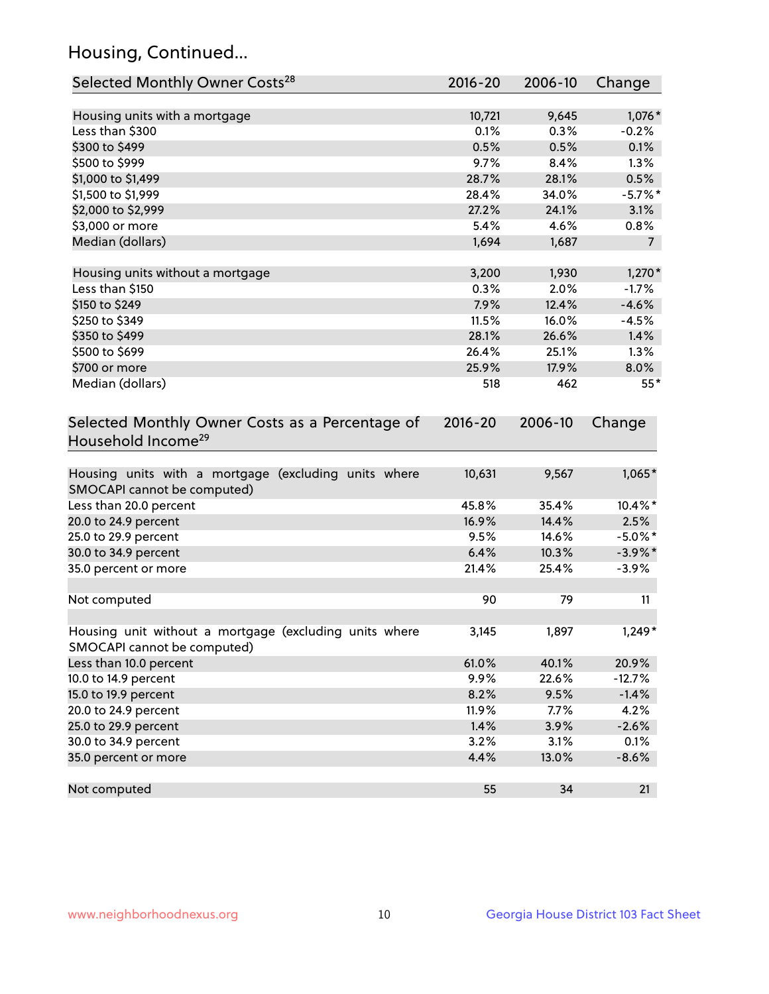## Housing, Continued...

| Selected Monthly Owner Costs <sup>28</sup>                                            | 2016-20 | 2006-10 | Change         |
|---------------------------------------------------------------------------------------|---------|---------|----------------|
| Housing units with a mortgage                                                         | 10,721  | 9,645   | $1,076*$       |
| Less than \$300                                                                       | 0.1%    | 0.3%    | $-0.2%$        |
| \$300 to \$499                                                                        | 0.5%    | 0.5%    | 0.1%           |
| \$500 to \$999                                                                        | 9.7%    | 8.4%    | 1.3%           |
| \$1,000 to \$1,499                                                                    | 28.7%   | 28.1%   | 0.5%           |
| \$1,500 to \$1,999                                                                    | 28.4%   | 34.0%   | $-5.7\%$ *     |
| \$2,000 to \$2,999                                                                    | 27.2%   | 24.1%   | 3.1%           |
| \$3,000 or more                                                                       | 5.4%    | 4.6%    | 0.8%           |
| Median (dollars)                                                                      | 1,694   | 1,687   | $\overline{7}$ |
| Housing units without a mortgage                                                      | 3,200   | 1,930   | $1,270*$       |
| Less than \$150                                                                       | 0.3%    | 2.0%    | $-1.7%$        |
| \$150 to \$249                                                                        | 7.9%    | 12.4%   | $-4.6%$        |
| \$250 to \$349                                                                        | 11.5%   | 16.0%   | $-4.5%$        |
| \$350 to \$499                                                                        | 28.1%   | 26.6%   | 1.4%           |
| \$500 to \$699                                                                        | 26.4%   | 25.1%   | 1.3%           |
| \$700 or more                                                                         | 25.9%   | 17.9%   | 8.0%           |
| Median (dollars)                                                                      | 518     | 462     | $55*$          |
| Household Income <sup>29</sup>                                                        |         |         |                |
| Housing units with a mortgage (excluding units where<br>SMOCAPI cannot be computed)   | 10,631  | 9,567   | $1,065*$       |
| Less than 20.0 percent                                                                | 45.8%   | 35.4%   | 10.4%*         |
| 20.0 to 24.9 percent                                                                  | 16.9%   | 14.4%   | 2.5%           |
| 25.0 to 29.9 percent                                                                  | 9.5%    | 14.6%   | $-5.0\%$ *     |
| 30.0 to 34.9 percent                                                                  | 6.4%    | 10.3%   | $-3.9\%$ *     |
| 35.0 percent or more                                                                  | 21.4%   | 25.4%   | $-3.9%$        |
| Not computed                                                                          | 90      | 79      | 11             |
| Housing unit without a mortgage (excluding units where<br>SMOCAPI cannot be computed) | 3,145   | 1,897   | $1,249*$       |
| Less than 10.0 percent                                                                | 61.0%   | 40.1%   | 20.9%          |
| 10.0 to 14.9 percent                                                                  | 9.9%    | 22.6%   | $-12.7%$       |
| 15.0 to 19.9 percent                                                                  | 8.2%    | 9.5%    | $-1.4%$        |
| 20.0 to 24.9 percent                                                                  | 11.9%   | 7.7%    | 4.2%           |
| 25.0 to 29.9 percent                                                                  | 1.4%    | 3.9%    | $-2.6%$        |
| 30.0 to 34.9 percent                                                                  | 3.2%    | 3.1%    | 0.1%           |
| 35.0 percent or more                                                                  | 4.4%    | 13.0%   | $-8.6%$        |
| Not computed                                                                          | 55      | 34      | 21             |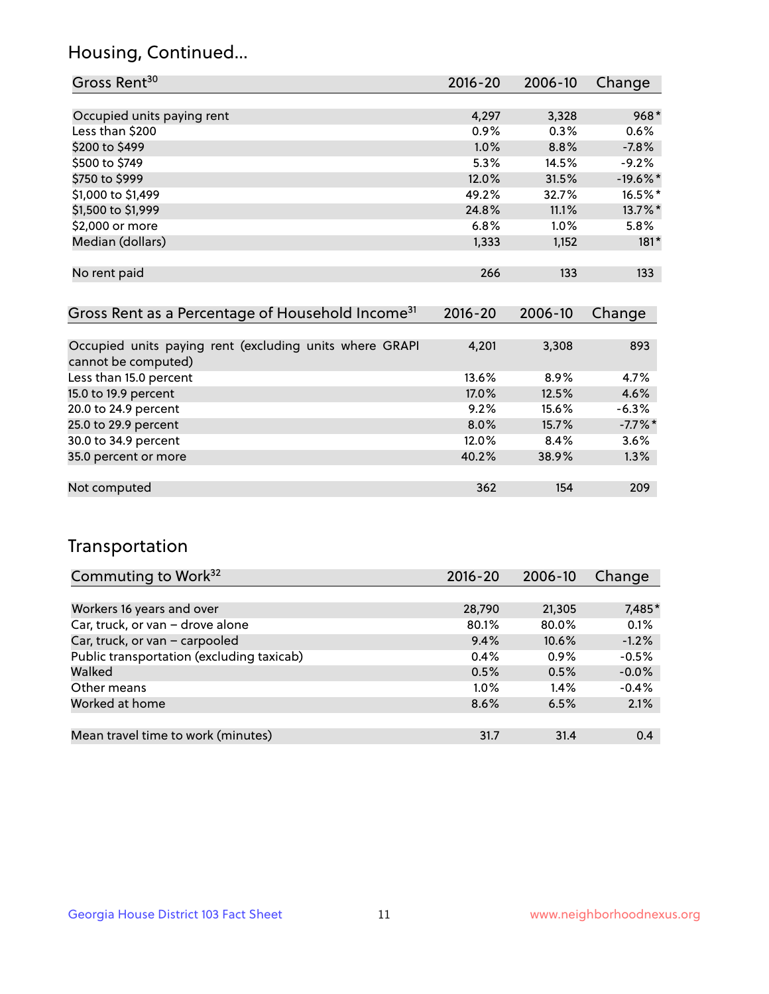## Housing, Continued...

| Gross Rent <sup>30</sup>   | 2016-20 | 2006-10 | Change     |
|----------------------------|---------|---------|------------|
|                            |         |         |            |
| Occupied units paying rent | 4,297   | 3,328   | $968*$     |
| Less than \$200            | 0.9%    | 0.3%    | 0.6%       |
| \$200 to \$499             | 1.0%    | 8.8%    | $-7.8%$    |
| \$500 to \$749             | 5.3%    | 14.5%   | $-9.2%$    |
| \$750 to \$999             | 12.0%   | 31.5%   | $-19.6%$ * |
| \$1,000 to \$1,499         | 49.2%   | 32.7%   | 16.5%*     |
| \$1,500 to \$1,999         | 24.8%   | 11.1%   | 13.7%*     |
| \$2,000 or more            | 6.8%    | 1.0%    | $5.8\%$    |
| Median (dollars)           | 1,333   | 1,152   | $181*$     |
|                            |         |         |            |
| No rent paid               | 266     | 133     | 133        |
|                            |         |         |            |

| Gross Rent as a Percentage of Household Income <sup>31</sup>                   | $2016 - 20$ | 2006-10 | Change    |
|--------------------------------------------------------------------------------|-------------|---------|-----------|
|                                                                                |             |         |           |
| Occupied units paying rent (excluding units where GRAPI<br>cannot be computed) | 4,201       | 3,308   | 893       |
| Less than 15.0 percent                                                         | 13.6%       | 8.9%    | 4.7%      |
| 15.0 to 19.9 percent                                                           | 17.0%       | 12.5%   | 4.6%      |
| 20.0 to 24.9 percent                                                           | 9.2%        | 15.6%   | $-6.3%$   |
| 25.0 to 29.9 percent                                                           | 8.0%        | 15.7%   | $-7.7%$ * |
| 30.0 to 34.9 percent                                                           | 12.0%       | 8.4%    | 3.6%      |
| 35.0 percent or more                                                           | 40.2%       | 38.9%   | 1.3%      |
|                                                                                |             |         |           |
| Not computed                                                                   | 362         | 154     | 209       |

## Transportation

| Commuting to Work <sup>32</sup>           | 2016-20 | 2006-10  | Change  |
|-------------------------------------------|---------|----------|---------|
|                                           |         |          |         |
| Workers 16 years and over                 | 28,790  | 21,305   | 7,485*  |
| Car, truck, or van - drove alone          | 80.1%   | 80.0%    | 0.1%    |
| Car, truck, or van - carpooled            | 9.4%    | $10.6\%$ | $-1.2%$ |
| Public transportation (excluding taxicab) | 0.4%    | $0.9\%$  | $-0.5%$ |
| Walked                                    | 0.5%    | 0.5%     | $-0.0%$ |
| Other means                               | $1.0\%$ | $1.4\%$  | $-0.4%$ |
| Worked at home                            | 8.6%    | 6.5%     | 2.1%    |
|                                           |         |          |         |
| Mean travel time to work (minutes)        | 31.7    | 31.4     | 0.4     |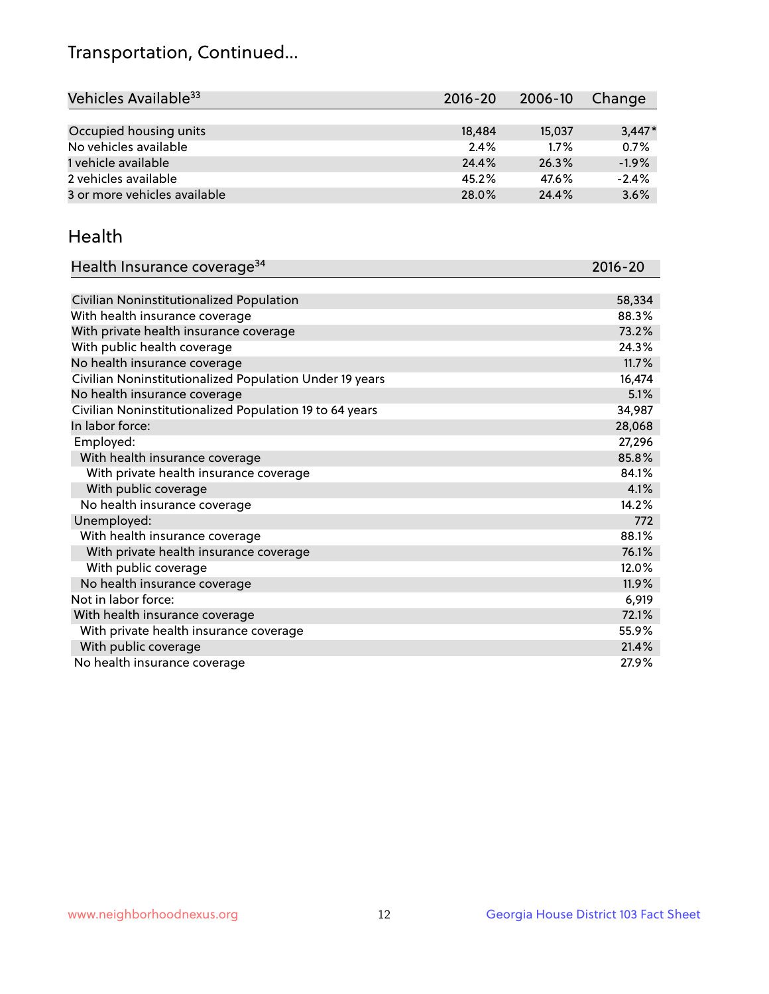## Transportation, Continued...

| Vehicles Available <sup>33</sup> | $2016 - 20$ | 2006-10 | Change   |
|----------------------------------|-------------|---------|----------|
|                                  |             |         |          |
| Occupied housing units           | 18,484      | 15,037  | $3,447*$ |
| No vehicles available            | 2.4%        | 1.7%    | 0.7%     |
| 1 vehicle available              | 24.4%       | 26.3%   | $-1.9%$  |
| 2 vehicles available             | 45.2%       | 47.6%   | $-2.4%$  |
| 3 or more vehicles available     | 28.0%       | 24.4%   | 3.6%     |

#### Health

| Health Insurance coverage <sup>34</sup>                 | 2016-20 |
|---------------------------------------------------------|---------|
|                                                         |         |
| Civilian Noninstitutionalized Population                | 58,334  |
| With health insurance coverage                          | 88.3%   |
| With private health insurance coverage                  | 73.2%   |
| With public health coverage                             | 24.3%   |
| No health insurance coverage                            | 11.7%   |
| Civilian Noninstitutionalized Population Under 19 years | 16,474  |
| No health insurance coverage                            | 5.1%    |
| Civilian Noninstitutionalized Population 19 to 64 years | 34,987  |
| In labor force:                                         | 28,068  |
| Employed:                                               | 27,296  |
| With health insurance coverage                          | 85.8%   |
| With private health insurance coverage                  | 84.1%   |
| With public coverage                                    | 4.1%    |
| No health insurance coverage                            | 14.2%   |
| Unemployed:                                             | 772     |
| With health insurance coverage                          | 88.1%   |
| With private health insurance coverage                  | 76.1%   |
| With public coverage                                    | 12.0%   |
| No health insurance coverage                            | 11.9%   |
| Not in labor force:                                     | 6,919   |
| With health insurance coverage                          | 72.1%   |
| With private health insurance coverage                  | 55.9%   |
| With public coverage                                    | 21.4%   |
| No health insurance coverage                            | 27.9%   |